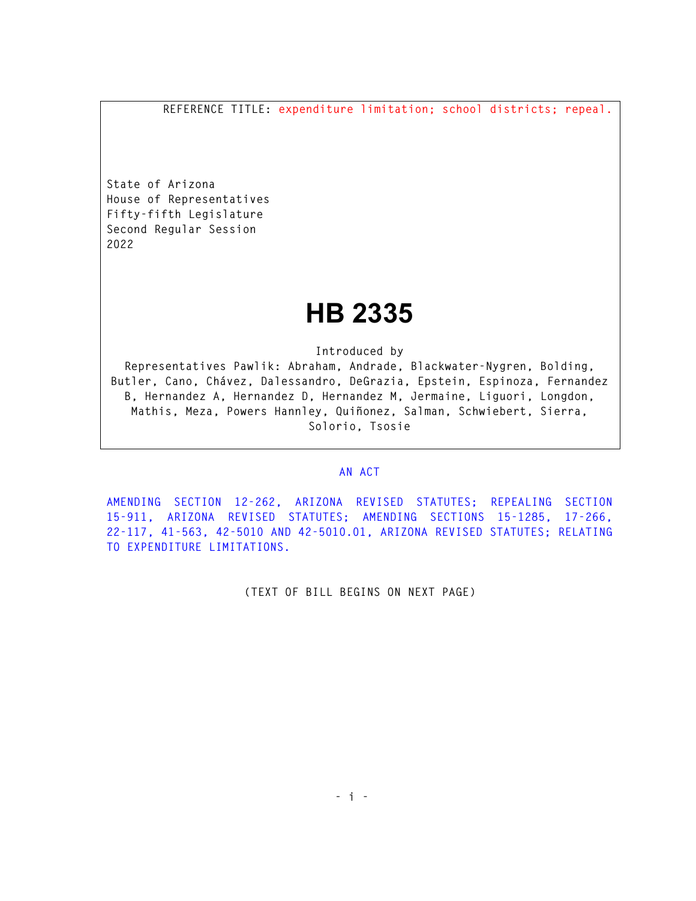**REFERENCE TITLE: expenditure limitation; school districts; repeal.** 

**State of Arizona House of Representatives Fifty-fifth Legislature Second Regular Session 2022** 

## **HB 2335**

**Introduced by** 

**Representatives Pawlik: Abraham, Andrade, Blackwater-Nygren, Bolding, Butler, Cano, Chávez, Dalessandro, DeGrazia, Epstein, Espinoza, Fernandez B, Hernandez A, Hernandez D, Hernandez M, Jermaine, Liguori, Longdon, Mathis, Meza, Powers Hannley, Quiñonez, Salman, Schwiebert, Sierra, Solorio, Tsosie** 

## **AN ACT**

**AMENDING SECTION 12-262, ARIZONA REVISED STATUTES; REPEALING SECTION 15-911, ARIZONA REVISED STATUTES; AMENDING SECTIONS 15-1285, 17-266, 22-117, 41-563, 42-5010 AND 42-5010.01, ARIZONA REVISED STATUTES; RELATING TO EXPENDITURE LIMITATIONS.** 

**(TEXT OF BILL BEGINS ON NEXT PAGE)**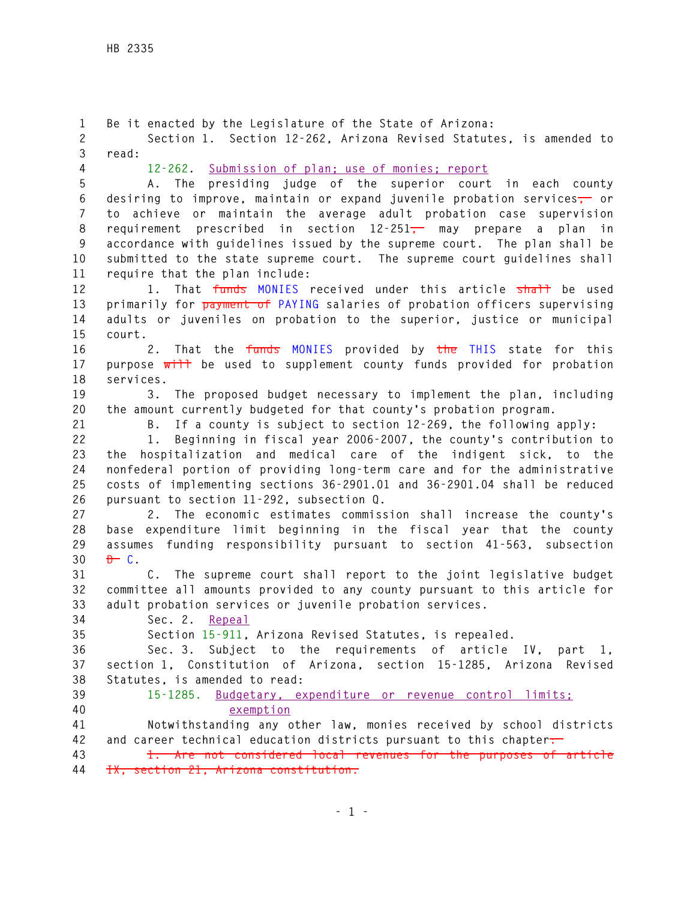**1 Be it enacted by the Legislature of the State of Arizona: 2 Section 1. Section 12-262, Arizona Revised Statutes, is amended to 3 read: 4 12-262. Submission of plan; use of monies; report 5 A. The presiding judge of the superior court in each county 6 desiring to improve, maintain or expand juvenile probation services, or 7 to achieve or maintain the average adult probation case supervision 8 requirement prescribed in section 12-251, may prepare a plan in 9 accordance with guidelines issued by the supreme court. The plan shall be 10 submitted to the state supreme court. The supreme court guidelines shall 11 require that the plan include:**  12 1. That funds MONIES received under this article shall be used **13 primarily for payment of PAYING salaries of probation officers supervising 14 adults or juveniles on probation to the superior, justice or municipal 15 court. 16 2. That the funds MONIES provided by the THIS state for this 17 purpose will be used to supplement county funds provided for probation 18 services. 19 3. The proposed budget necessary to implement the plan, including 20 the amount currently budgeted for that county's probation program. 21 B. If a county is subject to section 12-269, the following apply: 22 1. Beginning in fiscal year 2006-2007, the county's contribution to 23 the hospitalization and medical care of the indigent sick, to the 24 nonfederal portion of providing long-term care and for the administrative 25 costs of implementing sections 36-2901.01 and 36-2901.04 shall be reduced 26 pursuant to section 11-292, subsection Q. 27 2. The economic estimates commission shall increase the county's 28 base expenditure limit beginning in the fiscal year that the county 29 assumes funding responsibility pursuant to section 41-563, subsection**   $30$  <del> $D$ </del> C. **31 C. The supreme court shall report to the joint legislative budget 32 committee all amounts provided to any county pursuant to this article for 33 adult probation services or juvenile probation services. 34 Sec. 2. Repeal 35 Section 15-911, Arizona Revised Statutes, is repealed. 36 Sec. 3. Subject to the requirements of article IV, part 1, 37 section 1, Constitution of Arizona, section 15-1285, Arizona Revised 38 Statutes, is amended to read: 39 15-1285. Budgetary, expenditure or revenue control limits; 40 exemption 41 Notwithstanding any other law, monies received by school districts 42 and career technical education districts pursuant to this chapter: 43 1. Are not considered local revenues for the purposes of article 44 IX, section 21, Arizona constitution.**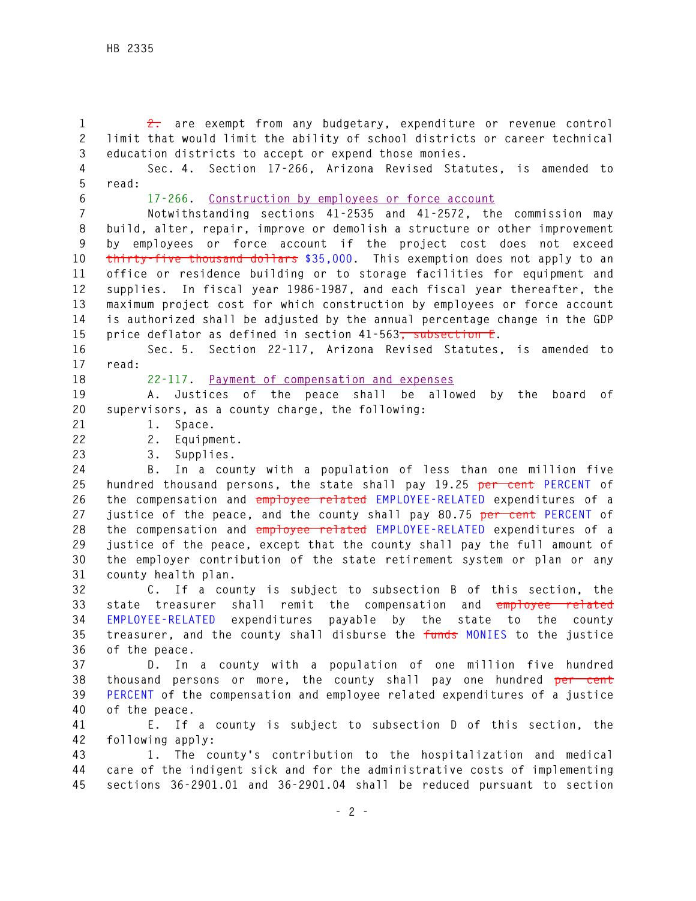**1 2. are exempt from any budgetary, expenditure or revenue control 2 limit that would limit the ability of school districts or career technical 3 education districts to accept or expend those monies.** 

**4 Sec. 4. Section 17-266, Arizona Revised Statutes, is amended to 5 read:** 

**6 17-266. Construction by employees or force account**

**7 Notwithstanding sections 41-2535 and 41-2572, the commission may 8 build, alter, repair, improve or demolish a structure or other improvement 9 by employees or force account if the project cost does not exceed 10 thirty-five thousand dollars \$35,000. This exemption does not apply to an 11 office or residence building or to storage facilities for equipment and 12 supplies. In fiscal year 1986-1987, and each fiscal year thereafter, the 13 maximum project cost for which construction by employees or force account 14 is authorized shall be adjusted by the annual percentage change in the GDP 15 price deflator as defined in section 41-563, subsection E.** 

**16 Sec. 5. Section 22-117, Arizona Revised Statutes, is amended to 17 read:** 

**18 22-117. Payment of compensation and expenses**

**19 A. Justices of the peace shall be allowed by the board of 20 supervisors, as a county charge, the following:** 

**21 1. Space.** 

**22 2. Equipment.** 

**23 3. Supplies.** 

**24 B. In a county with a population of less than one million five 25 hundred thousand persons, the state shall pay 19.25 per cent PERCENT of 26 the compensation and employee related EMPLOYEE-RELATED expenditures of a 27 justice of the peace, and the county shall pay 80.75 per cent PERCENT of 28 the compensation and employee related EMPLOYEE-RELATED expenditures of a 29 justice of the peace, except that the county shall pay the full amount of 30 the employer contribution of the state retirement system or plan or any 31 county health plan.** 

**32 C. If a county is subject to subsection B of this section, the 33 state treasurer shall remit the compensation and employee related 34 EMPLOYEE-RELATED expenditures payable by the state to the county 35 treasurer, and the county shall disburse the funds MONIES to the justice 36 of the peace.** 

**37 D. In a county with a population of one million five hundred 38 thousand persons or more, the county shall pay one hundred per cent 39 PERCENT of the compensation and employee related expenditures of a justice 40 of the peace.** 

**41 E. If a county is subject to subsection D of this section, the 42 following apply:** 

**43 1. The county's contribution to the hospitalization and medical 44 care of the indigent sick and for the administrative costs of implementing 45 sections 36-2901.01 and 36-2901.04 shall be reduced pursuant to section**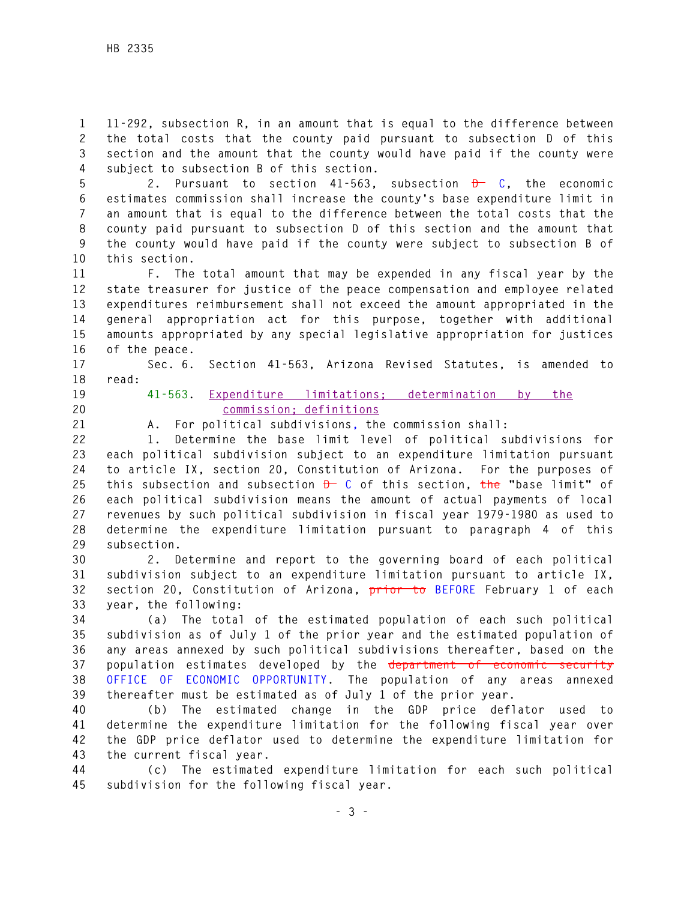**1 11-292, subsection R, in an amount that is equal to the difference between 2 the total costs that the county paid pursuant to subsection D of this 3 section and the amount that the county would have paid if the county were 4 subject to subsection B of this section.** 

**5 2. Pursuant to section 41-563, subsection D C, the economic 6 estimates commission shall increase the county's base expenditure limit in 7 an amount that is equal to the difference between the total costs that the 8 county paid pursuant to subsection D of this section and the amount that 9 the county would have paid if the county were subject to subsection B of 10 this section.** 

**11 F. The total amount that may be expended in any fiscal year by the 12 state treasurer for justice of the peace compensation and employee related 13 expenditures reimbursement shall not exceed the amount appropriated in the 14 general appropriation act for this purpose, together with additional 15 amounts appropriated by any special legislative appropriation for justices 16 of the peace.** 

**17 Sec. 6. Section 41-563, Arizona Revised Statutes, is amended to 18 read:** 

- 
- 

**19 41-563. Expenditure limitations; determination by the 20 commission; definitions**

**21 A. For political subdivisions, the commission shall:** 

**22 1. Determine the base limit level of political subdivisions for 23 each political subdivision subject to an expenditure limitation pursuant 24 to article IX, section 20, Constitution of Arizona. For the purposes of 25 this subsection and subsection D C of this section, the "base limit" of 26 each political subdivision means the amount of actual payments of local 27 revenues by such political subdivision in fiscal year 1979-1980 as used to 28 determine the expenditure limitation pursuant to paragraph 4 of this 29 subsection.** 

**30 2. Determine and report to the governing board of each political 31 subdivision subject to an expenditure limitation pursuant to article IX, 32 section 20, Constitution of Arizona, prior to BEFORE February 1 of each 33 year, the following:** 

**34 (a) The total of the estimated population of each such political 35 subdivision as of July 1 of the prior year and the estimated population of 36 any areas annexed by such political subdivisions thereafter, based on the 37 population estimates developed by the department of economic security 38 OFFICE OF ECONOMIC OPPORTUNITY. The population of any areas annexed 39 thereafter must be estimated as of July 1 of the prior year.** 

**40 (b) The estimated change in the GDP price deflator used to 41 determine the expenditure limitation for the following fiscal year over 42 the GDP price deflator used to determine the expenditure limitation for 43 the current fiscal year.** 

**44 (c) The estimated expenditure limitation for each such political 45 subdivision for the following fiscal year.**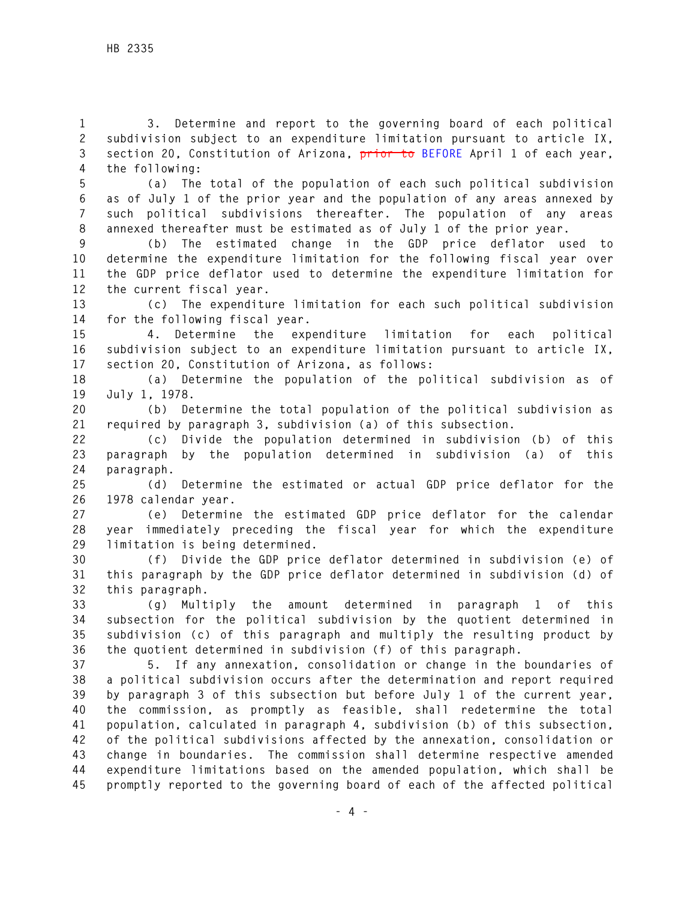**1 3. Determine and report to the governing board of each political 2 subdivision subject to an expenditure limitation pursuant to article IX, 3 section 20, Constitution of Arizona, prior to BEFORE April 1 of each year, 4 the following:** 

**5 (a) The total of the population of each such political subdivision 6 as of July 1 of the prior year and the population of any areas annexed by 7 such political subdivisions thereafter. The population of any areas 8 annexed thereafter must be estimated as of July 1 of the prior year.** 

**9 (b) The estimated change in the GDP price deflator used to 10 determine the expenditure limitation for the following fiscal year over 11 the GDP price deflator used to determine the expenditure limitation for 12 the current fiscal year.** 

**13 (c) The expenditure limitation for each such political subdivision 14 for the following fiscal year.** 

**15 4. Determine the expenditure limitation for each political 16 subdivision subject to an expenditure limitation pursuant to article IX, 17 section 20, Constitution of Arizona, as follows:** 

**18 (a) Determine the population of the political subdivision as of 19 July 1, 1978.** 

**20 (b) Determine the total population of the political subdivision as 21 required by paragraph 3, subdivision (a) of this subsection.** 

**22 (c) Divide the population determined in subdivision (b) of this 23 paragraph by the population determined in subdivision (a) of this 24 paragraph.** 

**25 (d) Determine the estimated or actual GDP price deflator for the 26 1978 calendar year.** 

**27 (e) Determine the estimated GDP price deflator for the calendar 28 year immediately preceding the fiscal year for which the expenditure 29 limitation is being determined.** 

**30 (f) Divide the GDP price deflator determined in subdivision (e) of 31 this paragraph by the GDP price deflator determined in subdivision (d) of 32 this paragraph.** 

**33 (g) Multiply the amount determined in paragraph 1 of this 34 subsection for the political subdivision by the quotient determined in 35 subdivision (c) of this paragraph and multiply the resulting product by 36 the quotient determined in subdivision (f) of this paragraph.** 

**37 5. If any annexation, consolidation or change in the boundaries of 38 a political subdivision occurs after the determination and report required 39 by paragraph 3 of this subsection but before July 1 of the current year, 40 the commission, as promptly as feasible, shall redetermine the total 41 population, calculated in paragraph 4, subdivision (b) of this subsection, 42 of the political subdivisions affected by the annexation, consolidation or 43 change in boundaries. The commission shall determine respective amended 44 expenditure limitations based on the amended population, which shall be 45 promptly reported to the governing board of each of the affected political**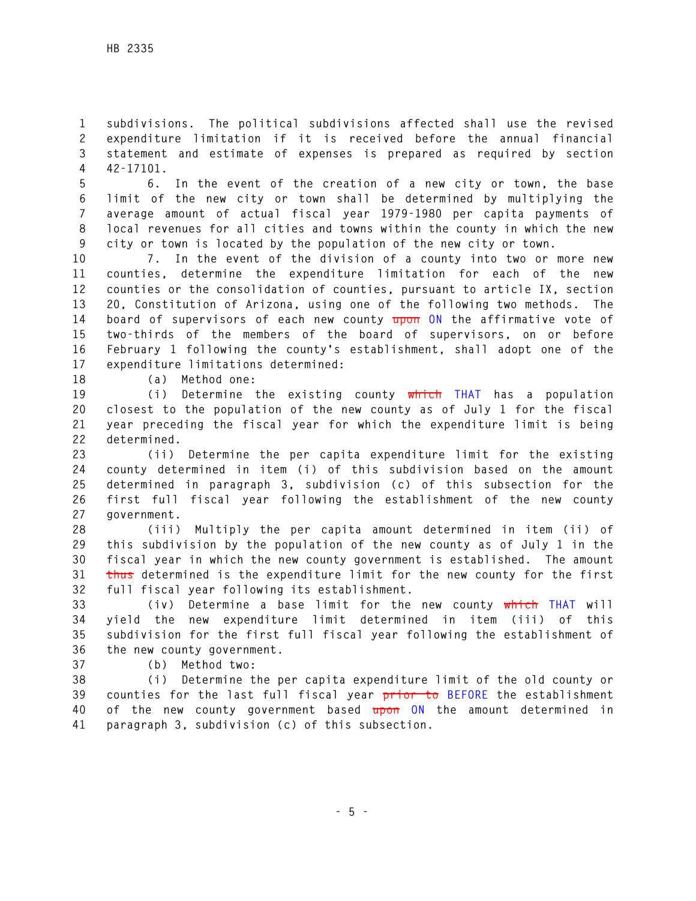**1 subdivisions. The political subdivisions affected shall use the revised 2 expenditure limitation if it is received before the annual financial 3 statement and estimate of expenses is prepared as required by section 4 42-17101.** 

**5 6. In the event of the creation of a new city or town, the base 6 limit of the new city or town shall be determined by multiplying the 7 average amount of actual fiscal year 1979-1980 per capita payments of 8 local revenues for all cities and towns within the county in which the new 9 city or town is located by the population of the new city or town.** 

**10 7. In the event of the division of a county into two or more new 11 counties, determine the expenditure limitation for each of the new 12 counties or the consolidation of counties, pursuant to article IX, section 13 20, Constitution of Arizona, using one of the following two methods. The 14 board of supervisors of each new county upon ON the affirmative vote of 15 two-thirds of the members of the board of supervisors, on or before 16 February 1 following the county's establishment, shall adopt one of the 17 expenditure limitations determined:** 

**18 (a) Method one:** 

**19 (i) Determine the existing county which THAT has a population 20 closest to the population of the new county as of July 1 for the fiscal 21 year preceding the fiscal year for which the expenditure limit is being 22 determined.** 

**23 (ii) Determine the per capita expenditure limit for the existing 24 county determined in item (i) of this subdivision based on the amount 25 determined in paragraph 3, subdivision (c) of this subsection for the 26 first full fiscal year following the establishment of the new county 27 government.** 

**28 (iii) Multiply the per capita amount determined in item (ii) of 29 this subdivision by the population of the new county as of July 1 in the 30 fiscal year in which the new county government is established. The amount 31 thus determined is the expenditure limit for the new county for the first 32 full fiscal year following its establishment.** 

**33 (iv) Determine a base limit for the new county which THAT will 34 yield the new expenditure limit determined in item (iii) of this 35 subdivision for the first full fiscal year following the establishment of 36 the new county government.** 

**37 (b) Method two:** 

**38 (i) Determine the per capita expenditure limit of the old county or 39 counties for the last full fiscal year prior to BEFORE the establishment 40 of the new county government based upon ON the amount determined in 41 paragraph 3, subdivision (c) of this subsection.**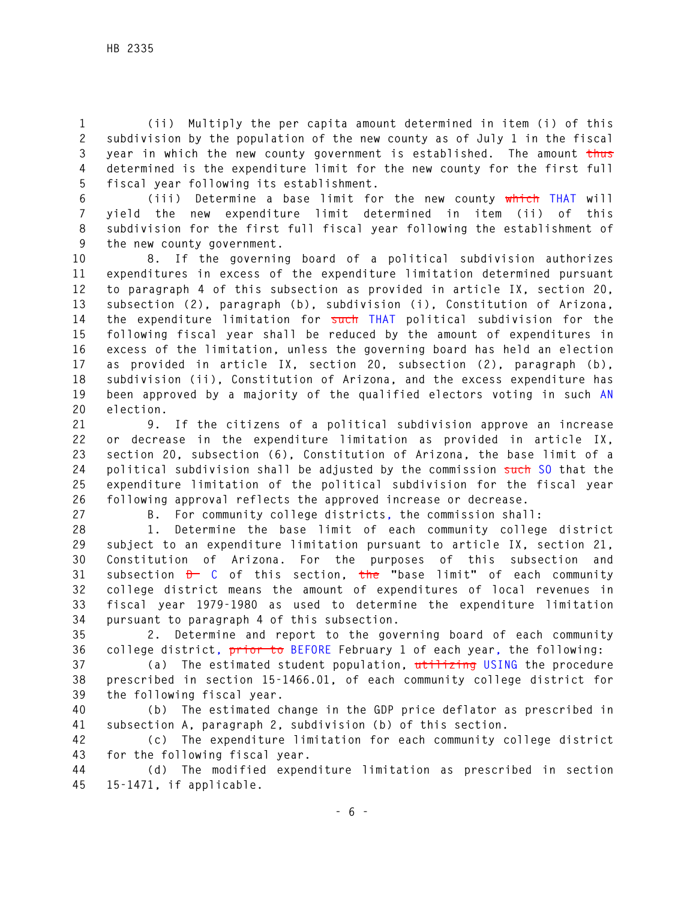**1 (ii) Multiply the per capita amount determined in item (i) of this 2 subdivision by the population of the new county as of July 1 in the fiscal 3 year in which the new county government is established. The amount thus 4 determined is the expenditure limit for the new county for the first full 5 fiscal year following its establishment.** 

**6 (iii) Determine a base limit for the new county which THAT will 7 yield the new expenditure limit determined in item (ii) of this 8 subdivision for the first full fiscal year following the establishment of 9 the new county government.** 

**10 8. If the governing board of a political subdivision authorizes 11 expenditures in excess of the expenditure limitation determined pursuant 12 to paragraph 4 of this subsection as provided in article IX, section 20, 13 subsection (2), paragraph (b), subdivision (i), Constitution of Arizona, 14 the expenditure limitation for such THAT political subdivision for the 15 following fiscal year shall be reduced by the amount of expenditures in 16 excess of the limitation, unless the governing board has held an election 17 as provided in article IX, section 20, subsection (2), paragraph (b), 18 subdivision (ii), Constitution of Arizona, and the excess expenditure has 19 been approved by a majority of the qualified electors voting in such AN 20 election.** 

**21 9. If the citizens of a political subdivision approve an increase 22 or decrease in the expenditure limitation as provided in article IX, 23 section 20, subsection (6), Constitution of Arizona, the base limit of a 24 political subdivision shall be adjusted by the commission such SO that the 25 expenditure limitation of the political subdivision for the fiscal year 26 following approval reflects the approved increase or decrease.** 

**27 B. For community college districts, the commission shall:** 

**28 1. Determine the base limit of each community college district 29 subject to an expenditure limitation pursuant to article IX, section 21, 30 Constitution of Arizona. For the purposes of this subsection and 31 subsection D C of this section, the "base limit" of each community 32 college district means the amount of expenditures of local revenues in 33 fiscal year 1979-1980 as used to determine the expenditure limitation 34 pursuant to paragraph 4 of this subsection.** 

**35 2. Determine and report to the governing board of each community 36 college district, prior to BEFORE February 1 of each year, the following:** 

**37 (a) The estimated student population, utilizing USING the procedure 38 prescribed in section 15-1466.01, of each community college district for 39 the following fiscal year.** 

**40 (b) The estimated change in the GDP price deflator as prescribed in 41 subsection A, paragraph 2, subdivision (b) of this section.** 

**42 (c) The expenditure limitation for each community college district 43 for the following fiscal year.** 

**44 (d) The modified expenditure limitation as prescribed in section 45 15-1471, if applicable.**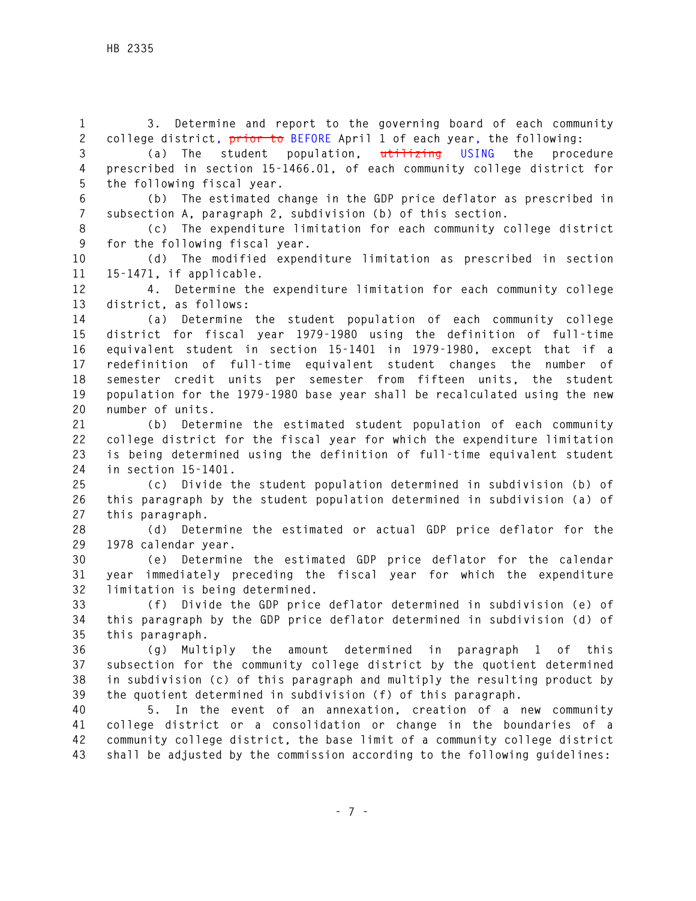**1 3. Determine and report to the governing board of each community 2 college district, prior to BEFORE April 1 of each year, the following:** 

**3 (a) The student population, utilizing USING the procedure 4 prescribed in section 15-1466.01, of each community college district for 5 the following fiscal year.** 

**6 (b) The estimated change in the GDP price deflator as prescribed in 7 subsection A, paragraph 2, subdivision (b) of this section.** 

**8 (c) The expenditure limitation for each community college district 9 for the following fiscal year.** 

**10 (d) The modified expenditure limitation as prescribed in section 11 15-1471, if applicable.** 

**12 4. Determine the expenditure limitation for each community college 13 district, as follows:** 

**14 (a) Determine the student population of each community college 15 district for fiscal year 1979-1980 using the definition of full-time 16 equivalent student in section 15-1401 in 1979-1980, except that if a 17 redefinition of full-time equivalent student changes the number of 18 semester credit units per semester from fifteen units, the student 19 population for the 1979-1980 base year shall be recalculated using the new 20 number of units.** 

**21 (b) Determine the estimated student population of each community 22 college district for the fiscal year for which the expenditure limitation 23 is being determined using the definition of full-time equivalent student 24 in section 15-1401.** 

**25 (c) Divide the student population determined in subdivision (b) of 26 this paragraph by the student population determined in subdivision (a) of 27 this paragraph.** 

**28 (d) Determine the estimated or actual GDP price deflator for the 29 1978 calendar year.** 

**30 (e) Determine the estimated GDP price deflator for the calendar 31 year immediately preceding the fiscal year for which the expenditure 32 limitation is being determined.** 

**33 (f) Divide the GDP price deflator determined in subdivision (e) of 34 this paragraph by the GDP price deflator determined in subdivision (d) of 35 this paragraph.** 

**36 (g) Multiply the amount determined in paragraph 1 of this 37 subsection for the community college district by the quotient determined 38 in subdivision (c) of this paragraph and multiply the resulting product by 39 the quotient determined in subdivision (f) of this paragraph.** 

**40 5. In the event of an annexation, creation of a new community 41 college district or a consolidation or change in the boundaries of a 42 community college district, the base limit of a community college district 43 shall be adjusted by the commission according to the following guidelines:**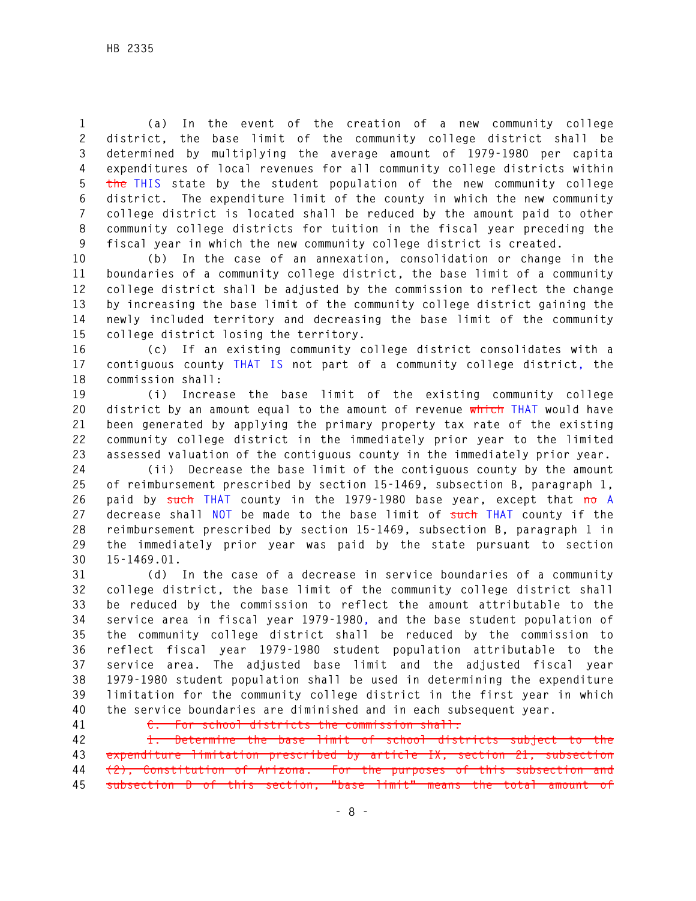**1 (a) In the event of the creation of a new community college 2 district, the base limit of the community college district shall be 3 determined by multiplying the average amount of 1979-1980 per capita 4 expenditures of local revenues for all community college districts within 5 the THIS state by the student population of the new community college 6 district. The expenditure limit of the county in which the new community 7 college district is located shall be reduced by the amount paid to other 8 community college districts for tuition in the fiscal year preceding the 9 fiscal year in which the new community college district is created.** 

**10 (b) In the case of an annexation, consolidation or change in the 11 boundaries of a community college district, the base limit of a community 12 college district shall be adjusted by the commission to reflect the change 13 by increasing the base limit of the community college district gaining the 14 newly included territory and decreasing the base limit of the community 15 college district losing the territory.** 

**16 (c) If an existing community college district consolidates with a 17 contiguous county THAT IS not part of a community college district, the 18 commission shall:** 

**19 (i) Increase the base limit of the existing community college 20 district by an amount equal to the amount of revenue which THAT would have 21 been generated by applying the primary property tax rate of the existing 22 community college district in the immediately prior year to the limited 23 assessed valuation of the contiguous county in the immediately prior year.** 

**24 (ii) Decrease the base limit of the contiguous county by the amount 25 of reimbursement prescribed by section 15-1469, subsection B, paragraph 1, 26 paid by such THAT county in the 1979-1980 base year, except that no A 27 decrease shall NOT be made to the base limit of such THAT county if the 28 reimbursement prescribed by section 15-1469, subsection B, paragraph 1 in 29 the immediately prior year was paid by the state pursuant to section 30 15-1469.01.** 

**31 (d) In the case of a decrease in service boundaries of a community 32 college district, the base limit of the community college district shall 33 be reduced by the commission to reflect the amount attributable to the 34 service area in fiscal year 1979-1980, and the base student population of 35 the community college district shall be reduced by the commission to 36 reflect fiscal year 1979-1980 student population attributable to the 37 service area. The adjusted base limit and the adjusted fiscal year 38 1979-1980 student population shall be used in determining the expenditure 39 limitation for the community college district in the first year in which 40 the service boundaries are diminished and in each subsequent year.** 

**41 C. For school districts the commission shall:** 

**42 1. Determine the base limit of school districts subject to the 43 expenditure limitation prescribed by article IX, section 21, subsection 44 (2), Constitution of Arizona. For the purposes of this subsection and 45 subsection D of this section, "base limit" means the total amount of**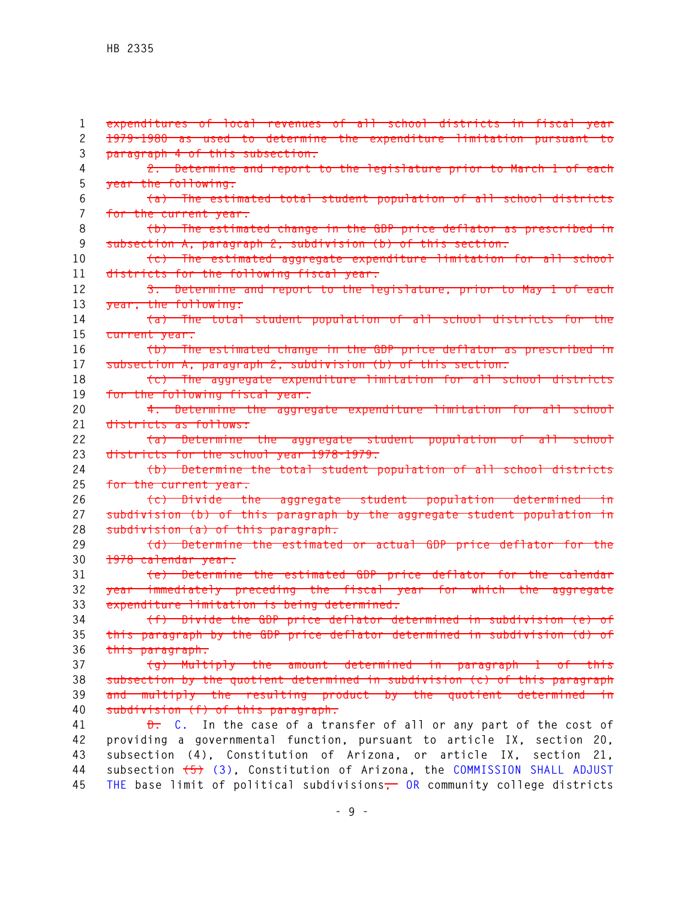**1 expenditures of local revenues of all school districts in fiscal year 2 1979-1980 as used to determine the expenditure limitation pursuant to 3 paragraph 4 of this subsection. 4 2. Determine and report to the legislature prior to March 1 of each 5 year the following: 6 (a) The estimated total student population of all school districts 7 for the current year. 8 (b) The estimated change in the GDP price deflator as prescribed in 9 subsection A, paragraph 2, subdivision (b) of this section. 10 (c) The estimated aggregate expenditure limitation for all school 11 districts for the following fiscal year. 12 3. Determine and report to the legislature, prior to May 1 of each 13 year, the following: 14 (a) The total student population of all school districts for the 15 current year. 16 (b) The estimated change in the GDP price deflator as prescribed in 17 subsection A, paragraph 2, subdivision (b) of this section. 18 (c) The aggregate expenditure limitation for all school districts 19 for the following fiscal year. 20 4. Determine the aggregate expenditure limitation for all school 21 districts as follows: 22 (a) Determine the aggregate student population of all school 23 districts for the school year 1978-1979. 24 (b) Determine the total student population of all school districts 25 for the current year. 26 (c) Divide the aggregate student population determined in 27 subdivision (b) of this paragraph by the aggregate student population in 28 subdivision (a) of this paragraph. 29 (d) Determine the estimated or actual GDP price deflator for the 30 1978 calendar year. 31 (e) Determine the estimated GDP price deflator for the calendar 32 year immediately preceding the fiscal year for which the aggregate 33 expenditure limitation is being determined. 34 (f) Divide the GDP price deflator determined in subdivision (e) of 35 this paragraph by the GDP price deflator determined in subdivision (d) of 36 this paragraph. 37 (g) Multiply the amount determined in paragraph 1 of this 38 subsection by the quotient determined in subdivision (c) of this paragraph 39 and multiply the resulting product by the quotient determined in 40 subdivision (f) of this paragraph. 41 D. C. In the case of a transfer of all or any part of the cost of 42 providing a governmental function, pursuant to article IX, section 20, 43 subsection (4), Constitution of Arizona, or article IX, section 21, 44 subsection (5) (3), Constitution of Arizona, the COMMISSION SHALL ADJUST 45 THE base limit of political subdivisions, OR community college districts**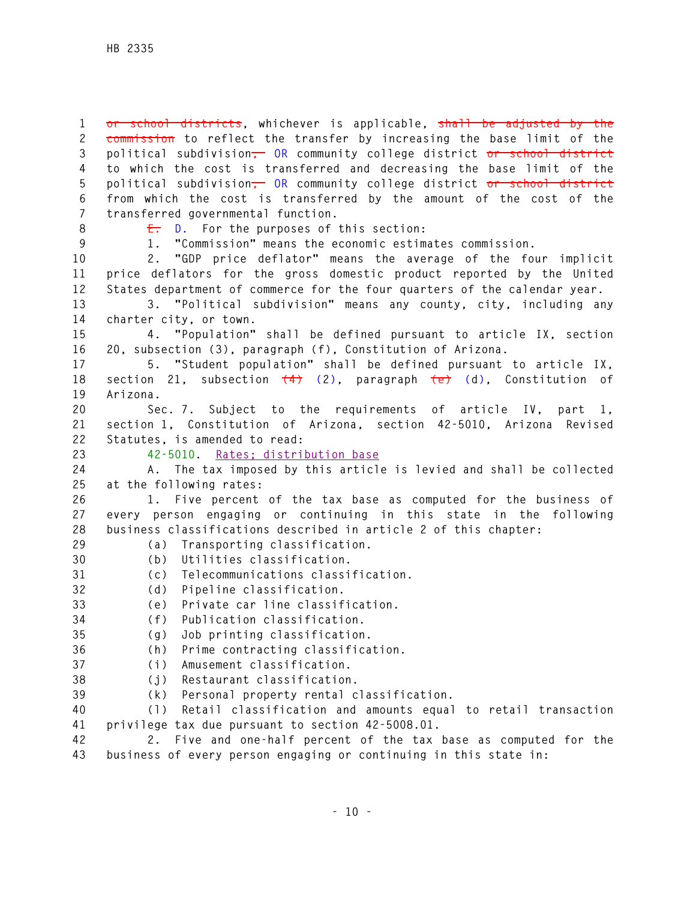**1 or school districts, whichever is applicable, shall be adjusted by the 2 commission to reflect the transfer by increasing the base limit of the 3 political subdivision, OR community college district or school district 4 to which the cost is transferred and decreasing the base limit of the 5 political subdivision, OR community college district or school district 6 from which the cost is transferred by the amount of the cost of the 7 transferred governmental function.** 

**8 E. D. For the purposes of this section:** 

**9 1. "Commission" means the economic estimates commission.** 

**10 2. "GDP price deflator" means the average of the four implicit 11 price deflators for the gross domestic product reported by the United 12 States department of commerce for the four quarters of the calendar year.** 

**13 3. "Political subdivision" means any county, city, including any 14 charter city, or town.** 

**15 4. "Population" shall be defined pursuant to article IX, section 16 20, subsection (3), paragraph (f), Constitution of Arizona.** 

**17 5. "Student population" shall be defined pursuant to article IX, 18 section 21, subsection (4) (2), paragraph (e) (d), Constitution of 19 Arizona.** 

**20 Sec. 7. Subject to the requirements of article IV, part 1, 21 section 1, Constitution of Arizona, section 42-5010, Arizona Revised 22 Statutes, is amended to read:** 

## **23 42-5010. Rates; distribution base**

**24 A. The tax imposed by this article is levied and shall be collected 25 at the following rates:** 

**26 1. Five percent of the tax base as computed for the business of 27 every person engaging or continuing in this state in the following 28 business classifications described in article 2 of this chapter:** 

- 
- **29 (a) Transporting classification. 30 (b) Utilities classification.**
- - **31 (c) Telecommunications classification.**
	- **32 (d) Pipeline classification.**
	- **33 (e) Private car line classification.**
	- **34 (f) Publication classification.**
	- **35 (g) Job printing classification.**
	- **36 (h) Prime contracting classification.**
	- **37 (i) Amusement classification.**
	- **38 (j) Restaurant classification.**
	- **39 (k) Personal property rental classification.**

**40 (l) Retail classification and amounts equal to retail transaction 41 privilege tax due pursuant to section 42-5008.01.** 

**42 2. Five and one-half percent of the tax base as computed for the 43 business of every person engaging or continuing in this state in:**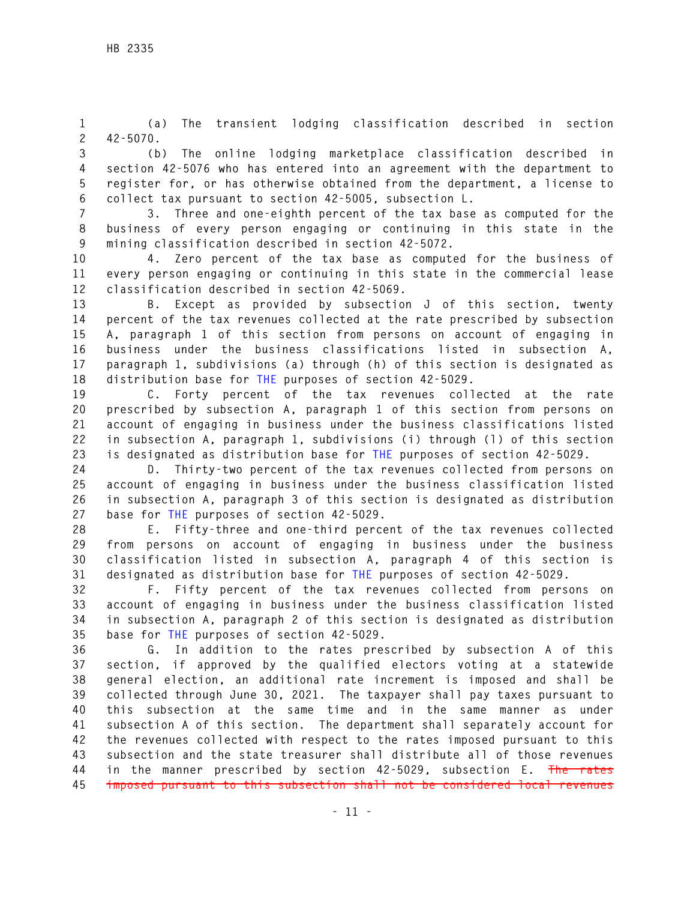**1 (a) The transient lodging classification described in section 2 42-5070.** 

**3 (b) The online lodging marketplace classification described in 4 section 42-5076 who has entered into an agreement with the department to 5 register for, or has otherwise obtained from the department, a license to 6 collect tax pursuant to section 42-5005, subsection L.** 

**7 3. Three and one-eighth percent of the tax base as computed for the 8 business of every person engaging or continuing in this state in the 9 mining classification described in section 42-5072.** 

**10 4. Zero percent of the tax base as computed for the business of 11 every person engaging or continuing in this state in the commercial lease 12 classification described in section 42-5069.** 

**13 B. Except as provided by subsection J of this section, twenty 14 percent of the tax revenues collected at the rate prescribed by subsection 15 A, paragraph 1 of this section from persons on account of engaging in 16 business under the business classifications listed in subsection A, 17 paragraph 1, subdivisions (a) through (h) of this section is designated as 18 distribution base for THE purposes of section 42-5029.** 

**19 C. Forty percent of the tax revenues collected at the rate 20 prescribed by subsection A, paragraph 1 of this section from persons on 21 account of engaging in business under the business classifications listed 22 in subsection A, paragraph 1, subdivisions (i) through (l) of this section 23 is designated as distribution base for THE purposes of section 42-5029.** 

**24 D. Thirty-two percent of the tax revenues collected from persons on 25 account of engaging in business under the business classification listed 26 in subsection A, paragraph 3 of this section is designated as distribution 27 base for THE purposes of section 42-5029.** 

**28 E. Fifty-three and one-third percent of the tax revenues collected 29 from persons on account of engaging in business under the business 30 classification listed in subsection A, paragraph 4 of this section is 31 designated as distribution base for THE purposes of section 42-5029.** 

**32 F. Fifty percent of the tax revenues collected from persons on 33 account of engaging in business under the business classification listed 34 in subsection A, paragraph 2 of this section is designated as distribution 35 base for THE purposes of section 42-5029.** 

**36 G. In addition to the rates prescribed by subsection A of this 37 section, if approved by the qualified electors voting at a statewide 38 general election, an additional rate increment is imposed and shall be 39 collected through June 30, 2021. The taxpayer shall pay taxes pursuant to 40 this subsection at the same time and in the same manner as under 41 subsection A of this section. The department shall separately account for 42 the revenues collected with respect to the rates imposed pursuant to this 43 subsection and the state treasurer shall distribute all of those revenues 44 in the manner prescribed by section 42-5029, subsection E. The rates 45 imposed pursuant to this subsection shall not be considered local revenues**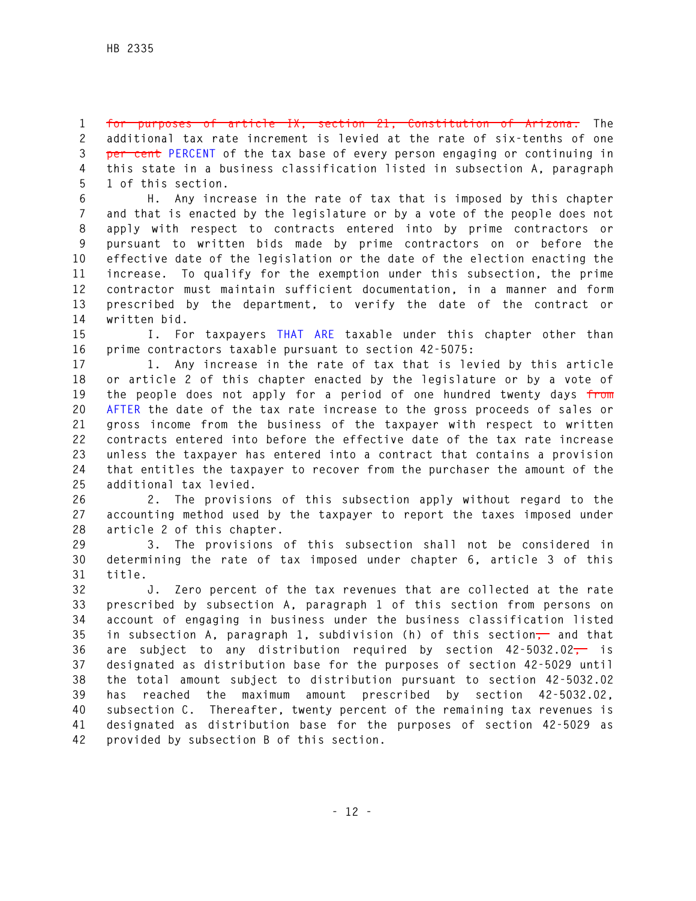**1 for purposes of article IX, section 21, Constitution of Arizona. The 2 additional tax rate increment is levied at the rate of six-tenths of one 3 per cent PERCENT of the tax base of every person engaging or continuing in 4 this state in a business classification listed in subsection A, paragraph 5 1 of this section.** 

**6 H. Any increase in the rate of tax that is imposed by this chapter 7 and that is enacted by the legislature or by a vote of the people does not 8 apply with respect to contracts entered into by prime contractors or 9 pursuant to written bids made by prime contractors on or before the 10 effective date of the legislation or the date of the election enacting the 11 increase. To qualify for the exemption under this subsection, the prime 12 contractor must maintain sufficient documentation, in a manner and form 13 prescribed by the department, to verify the date of the contract or 14 written bid.** 

**15 I. For taxpayers THAT ARE taxable under this chapter other than 16 prime contractors taxable pursuant to section 42-5075:** 

**17 1. Any increase in the rate of tax that is levied by this article 18 or article 2 of this chapter enacted by the legislature or by a vote of 19 the people does not apply for a period of one hundred twenty days from 20 AFTER the date of the tax rate increase to the gross proceeds of sales or 21 gross income from the business of the taxpayer with respect to written 22 contracts entered into before the effective date of the tax rate increase 23 unless the taxpayer has entered into a contract that contains a provision 24 that entitles the taxpayer to recover from the purchaser the amount of the 25 additional tax levied.** 

**26 2. The provisions of this subsection apply without regard to the 27 accounting method used by the taxpayer to report the taxes imposed under 28 article 2 of this chapter.** 

**29 3. The provisions of this subsection shall not be considered in 30 determining the rate of tax imposed under chapter 6, article 3 of this 31 title.** 

**32 J. Zero percent of the tax revenues that are collected at the rate 33 prescribed by subsection A, paragraph 1 of this section from persons on 34 account of engaging in business under the business classification listed 35 in subsection A, paragraph 1, subdivision (h) of this section, and that 36 are subject to any distribution required by section 42-5032.02, is 37 designated as distribution base for the purposes of section 42-5029 until 38 the total amount subject to distribution pursuant to section 42-5032.02 39 has reached the maximum amount prescribed by section 42-5032.02, 40 subsection C. Thereafter, twenty percent of the remaining tax revenues is 41 designated as distribution base for the purposes of section 42-5029 as 42 provided by subsection B of this section.**